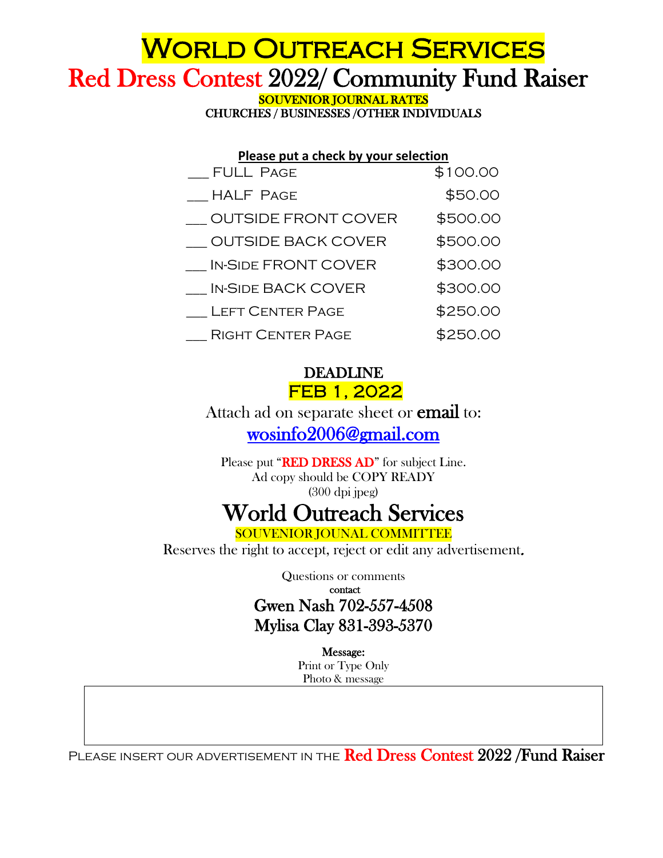## **WORLD OUTREACH SERVICES** Red Dress Contest 2022/ Community Fund Raiser

CHURCHES / BUSINESSES /OTHER INDIVIDUALS

| Please put a check by your selection |          |
|--------------------------------------|----------|
| _FULL PAGE                           | \$100.00 |
| <b>HALF PAGE</b>                     | \$50.00  |
| <b>OUTSIDE FRONT COVER</b>           | \$500.00 |
| <b>OUTSIDE BACK COVER</b>            | \$500.00 |
| <b>IN-SIDE FRONT COVER</b>           | \$300.00 |
| <b>IN-SIDE BACK COVER</b>            | \$300.00 |
| <b>LEFT CENTER PAGE</b>              | \$250.00 |
| <b>RIGHT CENTER PAGE</b>             | \$250.00 |

## DEADLINE FEB 1, 2022

Attach ad on separate sheet or **email** to: [wosinfo2006@gmail.com](mailto:wosinfo2006@gmail.com) 

Please put "RED DRESS AD" for subject Line. Ad copy should be COPY READY (300 dpi jpeg)

## World Outreach Services

Reserves the right to accept, reject or edit any advertisement.

Questions or comments contact

Gwen Nash 702-557-4508 Mylisa Clay 831-393-5370

> Message: Print or Type Only Photo & message

PLEASE INSERT OUR ADVERTISEMENT IN THE Red Dress Contest 2022 / Fund Raiser